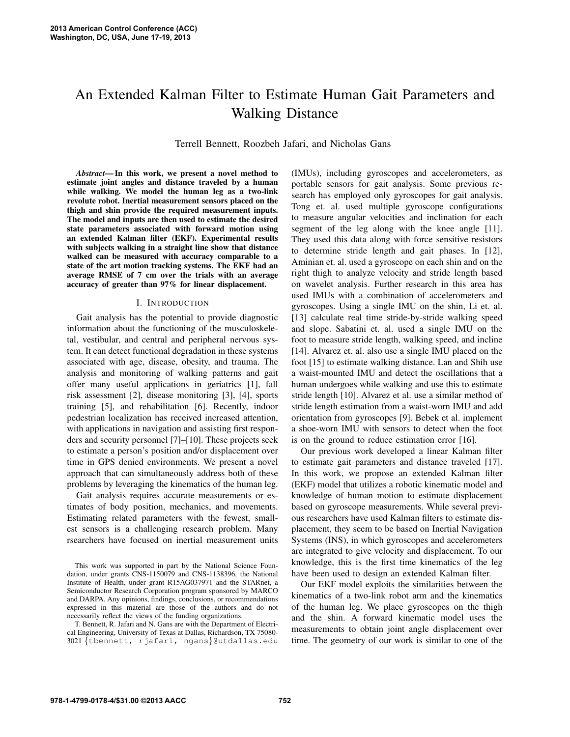# An Extended Kalman Filter to Estimate Human Gait Parameters and Walking Distance

Terrell Bennett, Roozbeh Jafari, and Nicholas Gans

*Abstract***—In this work, we present a novel method to estimate joint angles and distance traveled by a human while walking. We model the human leg as a two-link revolute robot. Inertial measurement sensors placed on the thigh and shin provide the required measurement inputs. The model and inputs are then used to estimate the desired state parameters associated with forward motion using an extended Kalman filter (EKF). Experimental results with subjects walking in a straight line show that distance walked can be measured with accuracy comparable to a state of the art motion tracking systems. The EKF had an average RMSE of 7 cm over the trials with an average accuracy of greater than 97% for linear displacement.**

# I. INTRODUCTION

Gait analysis has the potential to provide diagnostic information about the functioning of the musculoskeletal, vestibular, and central and peripheral nervous system. It can detect functional degradation in these systems associated with age, disease, obesity, and trauma. The analysis and monitoring of walking patterns and gait offer many useful applications in geriatrics [1], fall risk assessment [2], disease monitoring [3], [4], sports training [5], and rehabilitation [6]. Recently, indoor pedestrian localization has received increased attention, with applications in navigation and assisting first responders and security personnel [7]–[10]. These projects seek to estimate a person's position and/or displacement over time in GPS denied environments. We present a novel approach that can simultaneously address both of these problems by leveraging the kinematics of the human leg.

Gait analysis requires accurate measurements or estimates of body position, mechanics, and movements. Estimating related parameters with the fewest, smallest sensors is a challenging research problem. Many rsearchers have focused on inertial measurement units

This work was supported in part by the National Science Foundation, under grants CNS-1150079 and CNS-1138396, the National Institute of Health, under grant R15AG037971 and the STARnet, a Semiconductor Research Corporation program sponsored by MARCO and DARPA. Any opinions, findings, conclusions, or recommendations expressed in this material are those of the authors and do not necessarily reflect the views of the funding organizations.

T. Bennett, R. Jafari and N. Gans are with the Department of Electrical Engineering, University of Texas at Dallas, Richardson, TX 75080- 3021 {tbennett, rjafari, ngans}@utdallas.edu (IMUs), including gyroscopes and accelerometers, as portable sensors for gait analysis. Some previous research has employed only gyroscopes for gait analysis. Tong et. al. used multiple gyroscope configurations to measure angular velocities and inclination for each segment of the leg along with the knee angle [11]. They used this data along with force sensitive resistors to determine stride length and gait phases. In [12], Aminian et. al. used a gyroscope on each shin and on the right thigh to analyze velocity and stride length based on wavelet analysis. Further research in this area has used IMUs with a combination of accelerometers and gyroscopes. Using a single IMU on the shin, Li et. al. [13] calculate real time stride-by-stride walking speed and slope. Sabatini et. al. used a single IMU on the foot to measure stride length, walking speed, and incline [14]. Alvarez et. al. also use a single IMU placed on the foot [15] to estimate walking distance. Lan and Shih use a waist-mounted IMU and detect the oscillations that a human undergoes while walking and use this to estimate stride length [10]. Alvarez et al. use a similar method of stride length estimation from a waist-worn IMU and add orientation from gyroscopes [9]. Bebek et al. implement a shoe-worn IMU with sensors to detect when the foot is on the ground to reduce estimation error [16].

Our previous work developed a linear Kalman filter to estimate gait parameters and distance traveled [17]. In this work, we propose an extended Kalman filter (EKF) model that utilizes a robotic kinematic model and knowledge of human motion to estimate displacement based on gyroscope measurements. While several previous researchers have used Kalman filters to estimate displacement, they seem to be based on Inertial Navigation Systems (INS), in which gyroscopes and accelerometers are integrated to give velocity and displacement. To our knowledge, this is the first time kinematics of the leg have been used to design an extended Kalman filter.

Our EKF model exploits the similarities between the kinematics of a two-link robot arm and the kinematics of the human leg. We place gyroscopes on the thigh and the shin. A forward kinematic model uses the measurements to obtain joint angle displacement over time. The geometry of our work is similar to one of the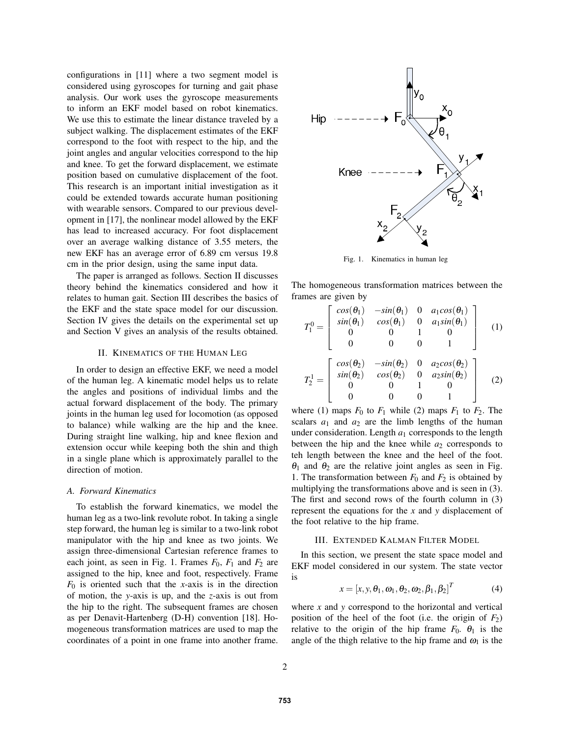configurations in [11] where a two segment model is considered using gyroscopes for turning and gait phase analysis. Our work uses the gyroscope measurements to inform an EKF model based on robot kinematics. We use this to estimate the linear distance traveled by a subject walking. The displacement estimates of the EKF correspond to the foot with respect to the hip, and the joint angles and angular velocities correspond to the hip and knee. To get the forward displacement, we estimate position based on cumulative displacement of the foot. This research is an important initial investigation as it could be extended towards accurate human positioning with wearable sensors. Compared to our previous development in [17], the nonlinear model allowed by the EKF has lead to increased accuracy. For foot displacement over an average walking distance of 3.55 meters, the new EKF has an average error of 6.89 cm versus 19.8 cm in the prior design, using the same input data.

The paper is arranged as follows. Section II discusses theory behind the kinematics considered and how it relates to human gait. Section III describes the basics of the EKF and the state space model for our discussion. Section IV gives the details on the experimental set up and Section V gives an analysis of the results obtained.

#### II. KINEMATICS OF THE HUMAN LEG

In order to design an effective EKF, we need a model of the human leg. A kinematic model helps us to relate the angles and positions of individual limbs and the actual forward displacement of the body. The primary joints in the human leg used for locomotion (as opposed to balance) while walking are the hip and the knee. During straight line walking, hip and knee flexion and extension occur while keeping both the shin and thigh in a single plane which is approximately parallel to the direction of motion.

## *A. Forward Kinematics*

To establish the forward kinematics, we model the human leg as a two-link revolute robot. In taking a single step forward, the human leg is similar to a two-link robot manipulator with the hip and knee as two joints. We assign three-dimensional Cartesian reference frames to each joint, as seen in Fig. 1. Frames  $F_0$ ,  $F_1$  and  $F_2$  are assigned to the hip, knee and foot, respectively. Frame  $F_0$  is oriented such that the *x*-axis is in the direction of motion, the *y*-axis is up, and the *z*-axis is out from the hip to the right. The subsequent frames are chosen as per Denavit-Hartenberg (D-H) convention [18]. Homogeneous transformation matrices are used to map the coordinates of a point in one frame into another frame.



Fig. 1. Kinematics in human leg

The homogeneous transformation matrices between the frames are given by

$$
T_1^0 = \begin{bmatrix} \cos(\theta_1) & -\sin(\theta_1) & 0 & a_1 \cos(\theta_1) \\ \sin(\theta_1) & \cos(\theta_1) & 0 & a_1 \sin(\theta_1) \\ 0 & 0 & 1 & 0 \\ 0 & 0 & 0 & 1 \end{bmatrix}
$$
 (1)  

$$
T_2^1 = \begin{bmatrix} \cos(\theta_2) & -\sin(\theta_2) & 0 & a_2 \cos(\theta_2) \\ \sin(\theta_2) & \cos(\theta_2) & 0 & a_2 \sin(\theta_2) \\ 0 & 0 & 1 & 0 \\ 0 & 0 & 0 & 1 \end{bmatrix}
$$
 (2)

where (1) maps  $F_0$  to  $F_1$  while (2) maps  $F_1$  to  $F_2$ . The scalars  $a_1$  and  $a_2$  are the limb lengths of the human under consideration. Length  $a_1$  corresponds to the length between the hip and the knee while  $a_2$  corresponds to teh length between the knee and the heel of the foot.  $\theta_1$  and  $\theta_2$  are the relative joint angles as seen in Fig. 1. The transformation between  $F_0$  and  $F_2$  is obtained by multiplying the transformations above and is seen in (3). The first and second rows of the fourth column in (3) represent the equations for the *x* and *y* displacement of the foot relative to the hip frame.

#### III. EXTENDED KALMAN FILTER MODEL

In this section, we present the state space model and EKF model considered in our system. The state vector is

$$
x = [x, y, \theta_1, \omega_1, \theta_2, \omega_2, \beta_1, \beta_2]^T
$$
 (4)

where *x* and *y* correspond to the horizontal and vertical position of the heel of the foot (i.e. the origin of  $F_2$ ) relative to the origin of the hip frame  $F_0$ .  $\theta_1$  is the angle of the thigh relative to the hip frame and  $\omega_1$  is the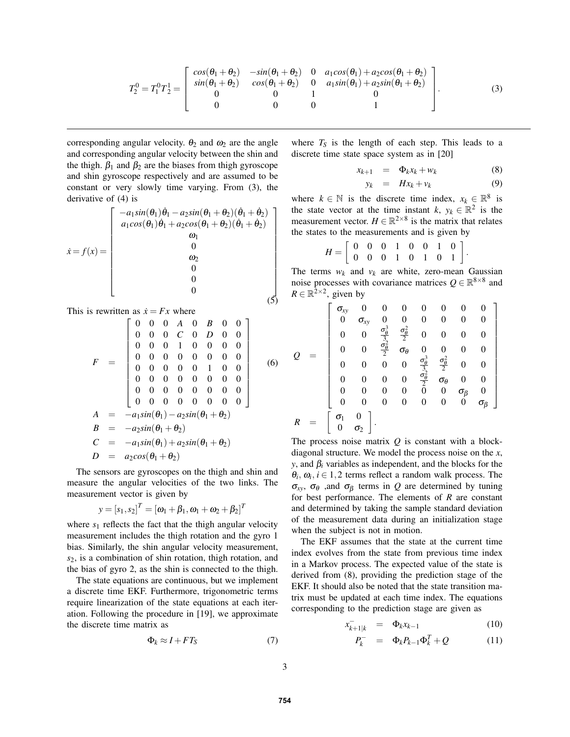$$
T_2^0 = T_1^0 T_2^1 = \begin{bmatrix} \cos(\theta_1 + \theta_2) & -\sin(\theta_1 + \theta_2) & 0 & a_1 \cos(\theta_1) + a_2 \cos(\theta_1 + \theta_2) \\ \sin(\theta_1 + \theta_2) & \cos(\theta_1 + \theta_2) & 0 & a_1 \sin(\theta_1) + a_2 \sin(\theta_1 + \theta_2) \\ 0 & 0 & 1 & 0 \\ 0 & 0 & 0 & 1 \end{bmatrix} . \tag{3}
$$

corresponding angular velocity.  $\theta_2$  and  $\omega_2$  are the angle and corresponding angular velocity between the shin and the thigh.  $\beta_1$  and  $\beta_2$  are the biases from thigh gyroscope and shin gyroscope respectively and are assumed to be constant or very slowly time varying. From (3), the derivative of (4) is

$$
\dot{x} = f(x) = \begin{bmatrix} -a_1 \sin(\theta_1)\dot{\theta}_1 - a_2 \sin(\theta_1 + \theta_2)(\dot{\theta}_1 + \dot{\theta}_2) \\ a_1 \cos(\theta_1)\dot{\theta}_1 + a_2 \cos(\theta_1 + \theta_2)(\dot{\theta}_1 + \dot{\theta}_2) \\ \omega_1 \\ 0 \\ 0 \\ 0 \\ 0 \end{bmatrix}
$$
\n
$$
\dot{x} = f(x) = \begin{bmatrix} -a_1 \sin(\theta_1)\dot{\theta}_1 - a_2 \sin(\theta_1 + \theta_2)(\dot{\theta}_1 + \dot{\theta}_2) \\ \omega_1 \\ 0 \\ 0 \\ 0 \end{bmatrix}
$$
\n(5)

This is rewritten as  $\dot{x} = Fx$  where

$$
F = \begin{bmatrix} 0 & 0 & 0 & A & 0 & B & 0 & 0 \\ 0 & 0 & 0 & C & 0 & D & 0 & 0 \\ 0 & 0 & 0 & 1 & 0 & 0 & 0 & 0 \\ 0 & 0 & 0 & 0 & 0 & 0 & 0 & 0 \\ 0 & 0 & 0 & 0 & 0 & 1 & 0 & 0 \\ 0 & 0 & 0 & 0 & 0 & 0 & 0 & 0 \\ 0 & 0 & 0 & 0 & 0 & 0 & 0 & 0 \\ 0 & 0 & 0 & 0 & 0 & 0 & 0 & 0 \end{bmatrix}
$$
  
\n
$$
A = -a_1 sin(\theta_1) - a_2 sin(\theta_1 + \theta_2)
$$
  
\n
$$
B = -a_2 sin(\theta_1 + \theta_2)
$$
  
\n
$$
C = -a_1 sin(\theta_1) + a_2 sin(\theta_1 + \theta_2)
$$
  
\n
$$
D = a_2 cos(\theta_1 + \theta_2)
$$
 (6)

The sensors are gyroscopes on the thigh and shin and measure the angular velocities of the two links. The measurement vector is given by

$$
y = [s_1, s_2]^T = [\omega_1 + \beta_1, \omega_1 + \omega_2 + \beta_2]^T
$$

where  $s_1$  reflects the fact that the thigh angular velocity measurement includes the thigh rotation and the gyro 1 bias. Similarly, the shin angular velocity measurement, *s*2, is a combination of shin rotation, thigh rotation, and the bias of gyro 2, as the shin is connected to the thigh.

The state equations are continuous, but we implement a discrete time EKF. Furthermore, trigonometric terms require linearization of the state equations at each iteration. Following the procedure in [19], we approximate the discrete time matrix as

$$
\Phi_k \approx I + FT_S \tag{7}
$$

where  $T<sub>S</sub>$  is the length of each step. This leads to a discrete time state space system as in [20]

$$
x_{k+1} = \Phi_k x_k + w_k \tag{8}
$$

$$
y_k = Hx_k + v_k \tag{9}
$$

where  $k \in \mathbb{N}$  is the discrete time index,  $x_k \in \mathbb{R}^8$  is the state vector at the time instant  $k, y_k \in \mathbb{R}^2$  is the measurement vector.  $H \in \mathbb{R}^{2 \times 8}$  is the matrix that relates the states to the measurements and is given by

$$
H = \left[ \begin{array}{cccccc} 0 & 0 & 0 & 1 & 0 & 0 & 1 & 0 \\ 0 & 0 & 0 & 1 & 0 & 1 & 0 & 1 \end{array} \right].
$$

The terms  $w_k$  and  $v_k$  are white, zero-mean Gaussian noise processes with covariance matrices  $Q \in \mathbb{R}^{8 \times 8}$  and  $R \in \mathbb{R}^{\bar{2} \times 2}$ , given by

$$
Q = \begin{bmatrix} \sigma_{xy} & 0 & 0 & 0 & 0 & 0 & 0 & 0 \\ 0 & \sigma_{xy} & 0 & 0 & 0 & 0 & 0 & 0 \\ 0 & 0 & \frac{\sigma_{\theta}^3}{3} & \frac{\sigma_{\theta}^2}{2} & 0 & 0 & 0 & 0 \\ 0 & 0 & \frac{\sigma_{\theta}^2}{2} & \sigma_{\theta} & 0 & 0 & 0 & 0 \\ 0 & 0 & 0 & 0 & \frac{\sigma_{\theta}^3}{3} & \frac{\sigma_{\theta}^2}{2} & 0 & 0 \\ 0 & 0 & 0 & 0 & \frac{\sigma_{\theta}^2}{2} & \sigma_{\theta} & 0 & 0 \\ 0 & 0 & 0 & 0 & \frac{\sigma_{\theta}^2}{2} & \sigma_{\theta} & 0 & 0 \\ 0 & 0 & 0 & 0 & 0 & 0 & \sigma_{\beta} & 0 \\ 0 & 0 & 0 & 0 & 0 & 0 & 0 & \sigma_{\beta} \end{bmatrix}
$$

$$
R = \begin{bmatrix} \sigma_1 & 0 \\ \sigma_2 & 0 \end{bmatrix}.
$$

The process noise matrix *Q* is constant with a blockdiagonal structure. We model the process noise on the *x*, *y*, and  $\beta_i$  variables as independent, and the blocks for the  $\theta_i$ ,  $\omega_i$ ,  $i \in 1,2$  terms reflect a random walk process. The <sup>σ</sup>*xy*, <sup>σ</sup><sup>θ</sup> ,and <sup>σ</sup><sup>β</sup> terms in *Q* are determined by tuning for best performance. The elements of *R* are constant and determined by taking the sample standard deviation of the measurement data during an initialization stage when the subject is not in motion.

The EKF assumes that the state at the current time index evolves from the state from previous time index in a Markov process. The expected value of the state is derived from (8), providing the prediction stage of the EKF. It should also be noted that the state transition matrix must be updated at each time index. The equations corresponding to the prediction stage are given as

$$
x_{k+1|k}^- = \Phi_k x_{k-1} \tag{10}
$$

$$
P_k^- = \Phi_k P_{k-1} \Phi_k^T + Q \qquad (11)
$$

3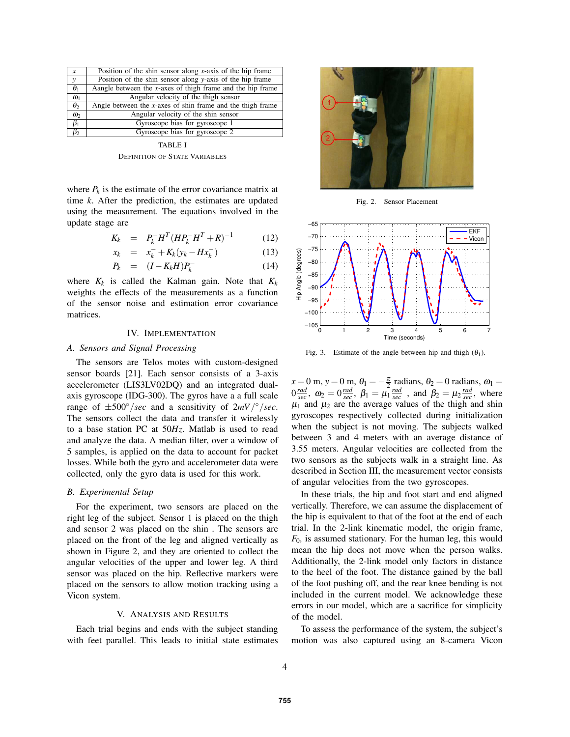| $\boldsymbol{x}$ | Position of the shin sensor along x-axis of the hip frame     |
|------------------|---------------------------------------------------------------|
| $\mathbf{v}$     | Position of the shin sensor along y-axis of the hip frame     |
| $\theta_1$       | Aangle between the $x$ -axes of thigh frame and the hip frame |
| $\omega_1$       | Angular velocity of the thigh sensor                          |
| $\theta_2$       | Angle between the $x$ -axes of shin frame and the thigh frame |
| $\omega_2$       | Angular velocity of the shin sensor                           |
| $\beta_1$        | Gyroscope bias for gyroscope 1                                |
| $B_2$            | Gyroscope bias for gyroscope 2                                |

TABLE I DEFINITION OF STATE VARIABLES

where  $P_k$  is the estimate of the error covariance matrix at time *k*. After the prediction, the estimates are updated using the measurement. The equations involved in the update stage are

$$
K_k = P_k^- H^T (H P_k^- H^T + R)^{-1} \tag{12}
$$

$$
x_k = x_k^- + K_k(y_k - Hx_k^-)
$$
 (13)

$$
P_k = (I - K_k H) P_k^- \tag{14}
$$

where  $K_k$  is called the Kalman gain. Note that  $K_k$ weights the effects of the measurements as a function of the sensor noise and estimation error covariance matrices.

# IV. IMPLEMENTATION

# *A. Sensors and Signal Processing*

The sensors are Telos motes with custom-designed sensor boards [21]. Each sensor consists of a 3-axis accelerometer (LIS3LV02DQ) and an integrated dualaxis gyroscope (IDG-300). The gyros have a a full scale range of  $\pm 500^\circ/sec$  and a sensitivity of  $2mV/\textdegree/sec$ . The sensors collect the data and transfer it wirelessly to a base station PC at 50*Hz*. Matlab is used to read and analyze the data. A median filter, over a window of 5 samples, is applied on the data to account for packet losses. While both the gyro and accelerometer data were collected, only the gyro data is used for this work.

### *B. Experimental Setup*

For the experiment, two sensors are placed on the right leg of the subject. Sensor 1 is placed on the thigh and sensor 2 was placed on the shin . The sensors are placed on the front of the leg and aligned vertically as shown in Figure 2, and they are oriented to collect the angular velocities of the upper and lower leg. A third sensor was placed on the hip. Reflective markers were placed on the sensors to allow motion tracking using a Vicon system.

## V. ANALYSIS AND RESULTS

Each trial begins and ends with the subject standing with feet parallel. This leads to initial state estimates



Fig. 2. Sensor Placement



Fig. 3. Estimate of the angle between hip and thigh  $(\theta_1)$ .

 $x = 0$  m,  $y = 0$  m,  $\theta_1 = -\frac{\pi}{2}$  radians,  $\theta_2 = 0$  radians,  $\omega_1 =$  $0 \frac{rad}{sec}$ ,  $\omega_2 = 0 \frac{rad}{sec}$ ,  $\beta_1 = \mu_1 \frac{rad}{sec}$ , and  $\beta_2 = \mu_2 \frac{rad}{sec}$ , where  $\mu_1$  and  $\mu_2$  are the average values of the thigh and shin gyroscopes respectively collected during initialization when the subject is not moving. The subjects walked between 3 and 4 meters with an average distance of 3.55 meters. Angular velocities are collected from the two sensors as the subjects walk in a straight line. As described in Section III, the measurement vector consists of angular velocities from the two gyroscopes.

In these trials, the hip and foot start and end aligned vertically. Therefore, we can assume the displacement of the hip is equivalent to that of the foot at the end of each trial. In the 2-link kinematic model, the origin frame, *F*0*,* is assumed stationary. For the human leg, this would mean the hip does not move when the person walks. Additionally, the 2-link model only factors in distance to the heel of the foot. The distance gained by the ball of the foot pushing off, and the rear knee bending is not included in the current model. We acknowledge these errors in our model, which are a sacrifice for simplicity of the model.

To assess the performance of the system, the subject's motion was also captured using an 8-camera Vicon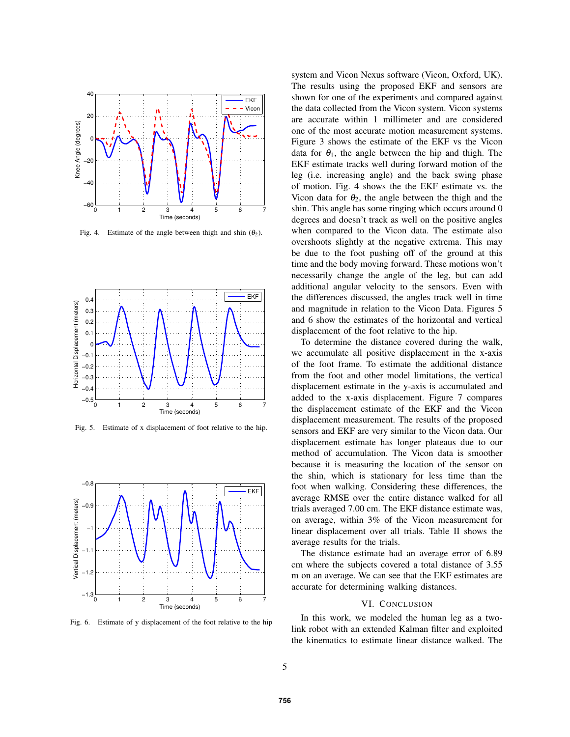

Fig. 4. Estimate of the angle between thigh and shin  $(\theta_2)$ .



Fig. 5. Estimate of x displacement of foot relative to the hip.



Fig. 6. Estimate of y displacement of the foot relative to the hip

system and Vicon Nexus software (Vicon, Oxford, UK). The results using the proposed EKF and sensors are shown for one of the experiments and compared against the data collected from the Vicon system. Vicon systems are accurate within 1 millimeter and are considered one of the most accurate motion measurement systems. Figure 3 shows the estimate of the EKF vs the Vicon data for  $\theta_1$ , the angle between the hip and thigh. The EKF estimate tracks well during forward motion of the leg (i.e. increasing angle) and the back swing phase of motion. Fig. 4 shows the the EKF estimate vs. the Vicon data for  $\theta_2$ , the angle between the thigh and the shin. This angle has some ringing which occurs around 0 degrees and doesn't track as well on the positive angles when compared to the Vicon data. The estimate also overshoots slightly at the negative extrema. This may be due to the foot pushing off of the ground at this time and the body moving forward. These motions won't necessarily change the angle of the leg, but can add additional angular velocity to the sensors. Even with the differences discussed, the angles track well in time and magnitude in relation to the Vicon Data. Figures 5 and 6 show the estimates of the horizontal and vertical displacement of the foot relative to the hip.

To determine the distance covered during the walk, we accumulate all positive displacement in the x-axis of the foot frame. To estimate the additional distance from the foot and other model limitations, the vertical displacement estimate in the y-axis is accumulated and added to the x-axis displacement. Figure 7 compares the displacement estimate of the EKF and the Vicon displacement measurement. The results of the proposed sensors and EKF are very similar to the Vicon data. Our displacement estimate has longer plateaus due to our method of accumulation. The Vicon data is smoother because it is measuring the location of the sensor on the shin, which is stationary for less time than the foot when walking. Considering these differences, the average RMSE over the entire distance walked for all trials averaged 7.00 cm. The EKF distance estimate was, on average, within 3% of the Vicon measurement for linear displacement over all trials. Table II shows the average results for the trials.

The distance estimate had an average error of 6.89 cm where the subjects covered a total distance of 3.55 m on an average. We can see that the EKF estimates are accurate for determining walking distances.

## VI. CONCLUSION

In this work, we modeled the human leg as a twolink robot with an extended Kalman filter and exploited the kinematics to estimate linear distance walked. The